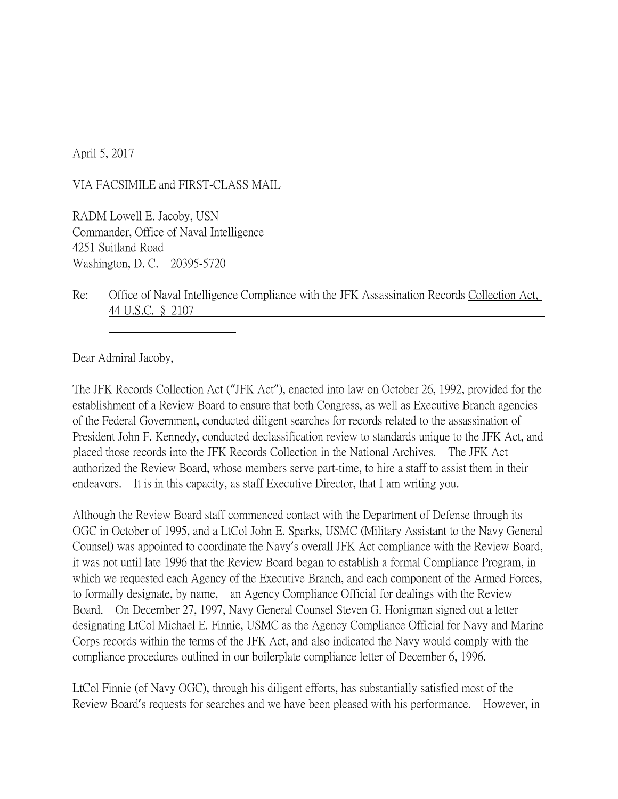April 5, 2017

## VIA FACSIMILE and FIRST-CLASS MAIL

RADM Lowell E. Jacoby, USN Commander, Office of Naval Intelligence 4251 Suitland Road Washington, D. C. 20395-5720

Re: Office of Naval Intelligence Compliance with the JFK Assassination Records Collection Act, 44 U.S.C. § 2107

Dear Admiral Jacoby,

The JFK Records Collection Act ("JFK Act"), enacted into law on October 26, 1992, provided for the establishment of a Review Board to ensure that both Congress, as well as Executive Branch agencies of the Federal Government, conducted diligent searches for records related to the assassination of President John F. Kennedy, conducted declassification review to standards unique to the JFK Act, and placed those records into the JFK Records Collection in the National Archives. The JFK Act authorized the Review Board, whose members serve part-time, to hire a staff to assist them in their endeavors. It is in this capacity, as staff Executive Director, that I am writing you.

Although the Review Board staff commenced contact with the Department of Defense through its OGC in October of 1995, and a LtCol John E. Sparks, USMC (Military Assistant to the Navy General Counsel) was appointed to coordinate the Navy's overall JFK Act compliance with the Review Board, it was not until late 1996 that the Review Board began to establish a formal Compliance Program, in which we requested each Agency of the Executive Branch, and each component of the Armed Forces, to formally designate, by name, an Agency Compliance Official for dealings with the Review Board. On December 27, 1997, Navy General Counsel Steven G. Honigman signed out a letter designating LtCol Michael E. Finnie, USMC as the Agency Compliance Official for Navy and Marine Corps records within the terms of the JFK Act, and also indicated the Navy would comply with the compliance procedures outlined in our boilerplate compliance letter of December 6, 1996.

LtCol Finnie (of Navy OGC), through his diligent efforts, has substantially satisfied most of the Review Board's requests for searches and we have been pleased with his performance. However, in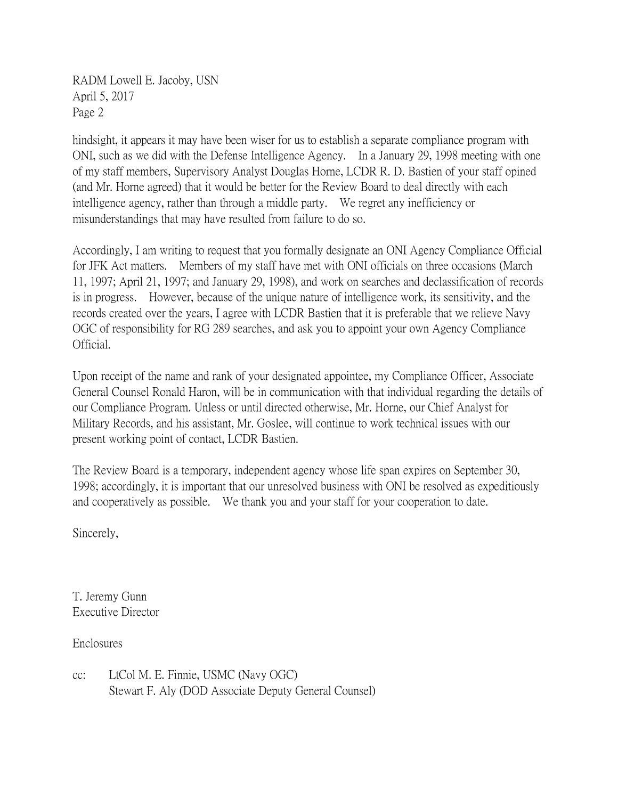RADM Lowell E. Jacoby, USN April 5, 2017 Page 2

hindsight, it appears it may have been wiser for us to establish a separate compliance program with ONI, such as we did with the Defense Intelligence Agency. In a January 29, 1998 meeting with one of my staff members, Supervisory Analyst Douglas Horne, LCDR R. D. Bastien of your staff opined (and Mr. Horne agreed) that it would be better for the Review Board to deal directly with each intelligence agency, rather than through a middle party. We regret any inefficiency or misunderstandings that may have resulted from failure to do so.

Accordingly, I am writing to request that you formally designate an ONI Agency Compliance Official for JFK Act matters. Members of my staff have met with ONI officials on three occasions (March 11, 1997; April 21, 1997; and January 29, 1998), and work on searches and declassification of records is in progress. However, because of the unique nature of intelligence work, its sensitivity, and the records created over the years, I agree with LCDR Bastien that it is preferable that we relieve Navy OGC of responsibility for RG 289 searches, and ask you to appoint your own Agency Compliance Official.

Upon receipt of the name and rank of your designated appointee, my Compliance Officer, Associate General Counsel Ronald Haron, will be in communication with that individual regarding the details of our Compliance Program. Unless or until directed otherwise, Mr. Horne, our Chief Analyst for Military Records, and his assistant, Mr. Goslee, will continue to work technical issues with our present working point of contact, LCDR Bastien.

The Review Board is a temporary, independent agency whose life span expires on September 30, 1998; accordingly, it is important that our unresolved business with ONI be resolved as expeditiously and cooperatively as possible. We thank you and your staff for your cooperation to date.

Sincerely,

T. Jeremy Gunn Executive Director

Enclosures

cc: LtCol M. E. Finnie, USMC (Navy OGC) Stewart F. Aly (DOD Associate Deputy General Counsel)